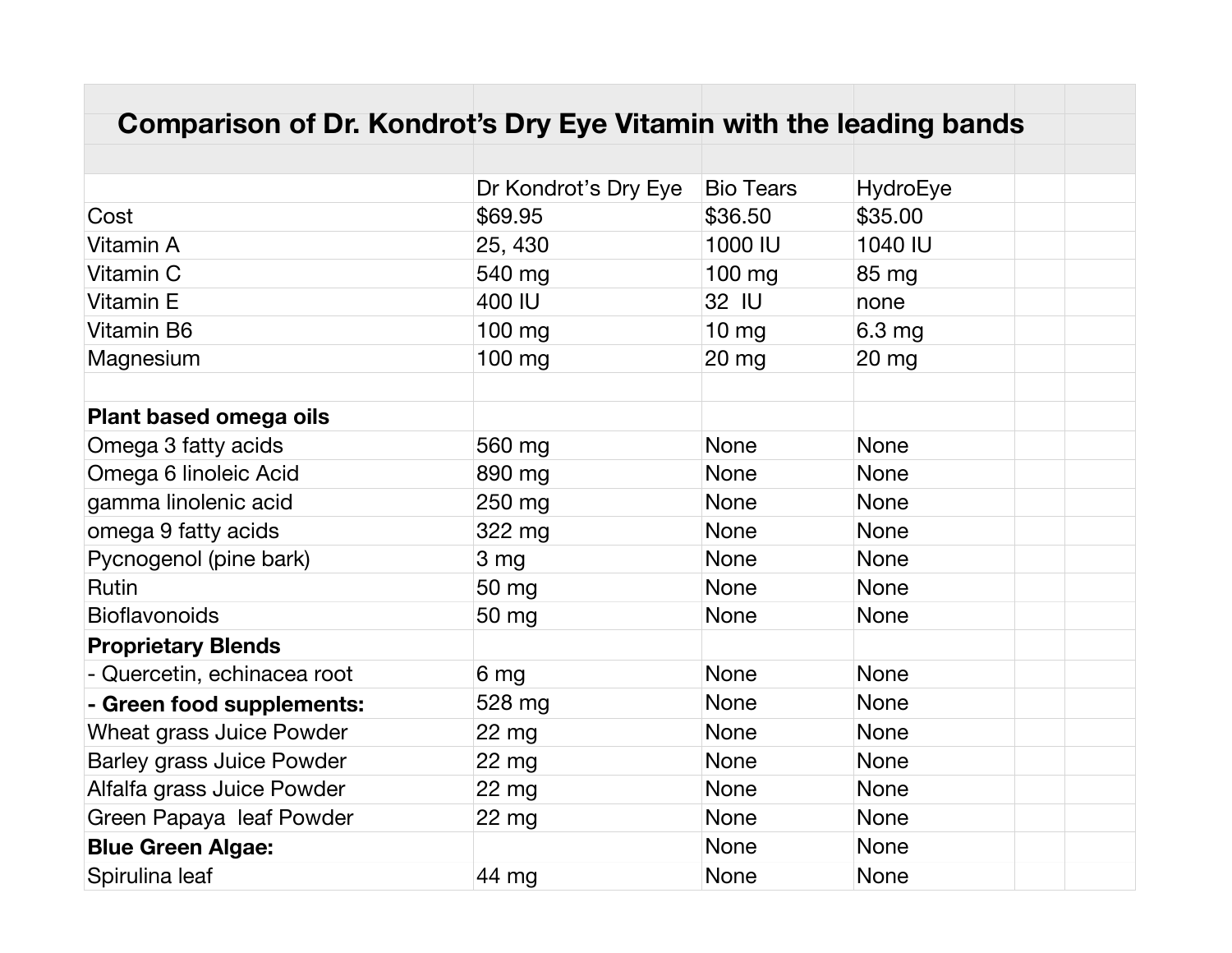| Comparison of Dr. Kondrot's Dry Eye Vitamin with the leading bands |                      |                  |                 |  |  |
|--------------------------------------------------------------------|----------------------|------------------|-----------------|--|--|
|                                                                    |                      |                  |                 |  |  |
|                                                                    | Dr Kondrot's Dry Eye | <b>Bio Tears</b> | <b>HydroEye</b> |  |  |
| Cost                                                               | \$69.95              | \$36.50          | \$35.00         |  |  |
| Vitamin A                                                          | 25, 430              | 1000 IU          | 1040 IU         |  |  |
| Vitamin C                                                          | 540 mg               | 100 mg           | 85 mg           |  |  |
| Vitamin E                                                          | 400 IU               | 32 IU            | none            |  |  |
| Vitamin B6                                                         | 100 mg               | $10 \text{ mg}$  | 6.3 mg          |  |  |
| Magnesium                                                          | 100 mg               | $20$ mg          | $20$ mg         |  |  |
|                                                                    |                      |                  |                 |  |  |
| <b>Plant based omega oils</b>                                      |                      |                  |                 |  |  |
| Omega 3 fatty acids                                                | 560 mg               | <b>None</b>      | <b>None</b>     |  |  |
| Omega 6 linoleic Acid                                              | 890 mg               | <b>None</b>      | <b>None</b>     |  |  |
| gamma linolenic acid                                               | 250 mg               | <b>None</b>      | <b>None</b>     |  |  |
| omega 9 fatty acids                                                | 322 mg               | <b>None</b>      | <b>None</b>     |  |  |
| Pycnogenol (pine bark)                                             | 3 mg                 | <b>None</b>      | None            |  |  |
| Rutin                                                              | 50 mg                | <b>None</b>      | <b>None</b>     |  |  |
| <b>Bioflavonoids</b>                                               | 50 mg                | <b>None</b>      | <b>None</b>     |  |  |
| <b>Proprietary Blends</b>                                          |                      |                  |                 |  |  |
| - Quercetin, echinacea root                                        | 6 mg                 | <b>None</b>      | <b>None</b>     |  |  |
| - Green food supplements:                                          | 528 mg               | <b>None</b>      | <b>None</b>     |  |  |
| <b>Wheat grass Juice Powder</b>                                    | 22 mg                | <b>None</b>      | None            |  |  |
| <b>Barley grass Juice Powder</b>                                   | $22$ mg              | <b>None</b>      | <b>None</b>     |  |  |
| Alfalfa grass Juice Powder                                         | $22$ mg              | <b>None</b>      | <b>None</b>     |  |  |
| Green Papaya leaf Powder                                           | 22 mg                | <b>None</b>      | <b>None</b>     |  |  |
| <b>Blue Green Algae:</b>                                           |                      | <b>None</b>      | <b>None</b>     |  |  |
| Spirulina leaf                                                     | 44 mg                | <b>None</b>      | <b>None</b>     |  |  |